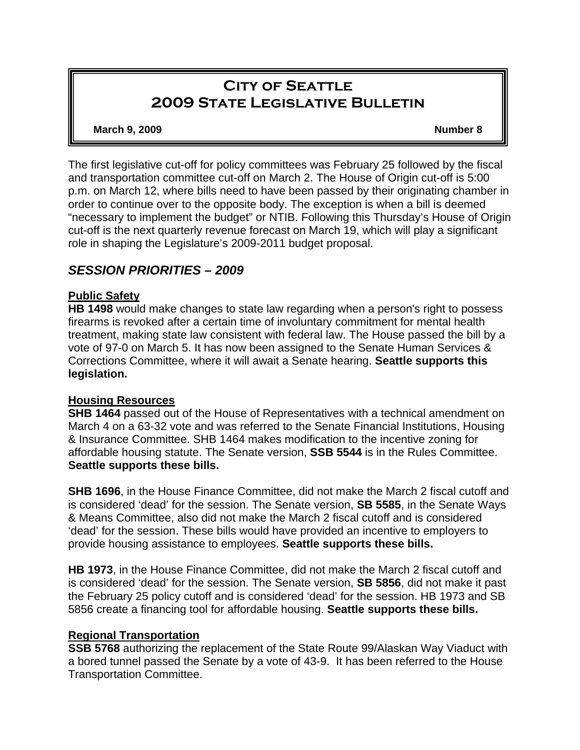# **City of Seattle 2009 State Legislative Bulletin**

#### **March 9, 2009 Number 8**

The first legislative cut-off for policy committees was February 25 followed by the fiscal and transportation committee cut-off on March 2. The House of Origin cut-off is 5:00 p.m. on March 12, where bills need to have been passed by their originating chamber in order to continue over to the opposite body. The exception is when a bill is deemed "necessary to implement the budget" or NTIB. Following this Thursday's House of Origin cut-off is the next quarterly revenue forecast on March 19, which will play a significant role in shaping the Legislature's 2009-2011 budget proposal.

# *SESSION PRIORITIES – 2009*

# **Public Safety**

**HB 1498** would make changes to state law regarding when a person's right to possess firearms is revoked after a certain time of involuntary commitment for mental health treatment, making state law consistent with federal law. The House passed the bill by a vote of 97-0 on March 5. It has now been assigned to the Senate Human Services & Corrections Committee, where it will await a Senate hearing. **Seattle supports this legislation.**

### **Housing Resources**

**SHB 1464** passed out of the House of Representatives with a technical amendment on March 4 on a 63-32 vote and was referred to the Senate Financial Institutions, Housing & Insurance Committee. SHB 1464 makes modification to the incentive zoning for affordable housing statute. The Senate version, **SSB 5544** is in the Rules Committee. **Seattle supports these bills.**

**SHB 1696**, in the House Finance Committee, did not make the March 2 fiscal cutoff and is considered 'dead' for the session. The Senate version, **SB 5585**, in the Senate Ways & Means Committee, also did not make the March 2 fiscal cutoff and is considered 'dead' for the session. These bills would have provided an incentive to employers to provide housing assistance to employees. **Seattle supports these bills.**

**HB 1973**, in the House Finance Committee, did not make the March 2 fiscal cutoff and is considered 'dead' for the session. The Senate version, **SB 5856**, did not make it past the February 25 policy cutoff and is considered 'dead' for the session. HB 1973 and SB 5856 create a financing tool for affordable housing. **Seattle supports these bills.**

### **Regional Transportation**

**SSB 5768** authorizing the replacement of the State Route 99/Alaskan Way Viaduct with a bored tunnel passed the Senate by a vote of 43-9. It has been referred to the House Transportation Committee.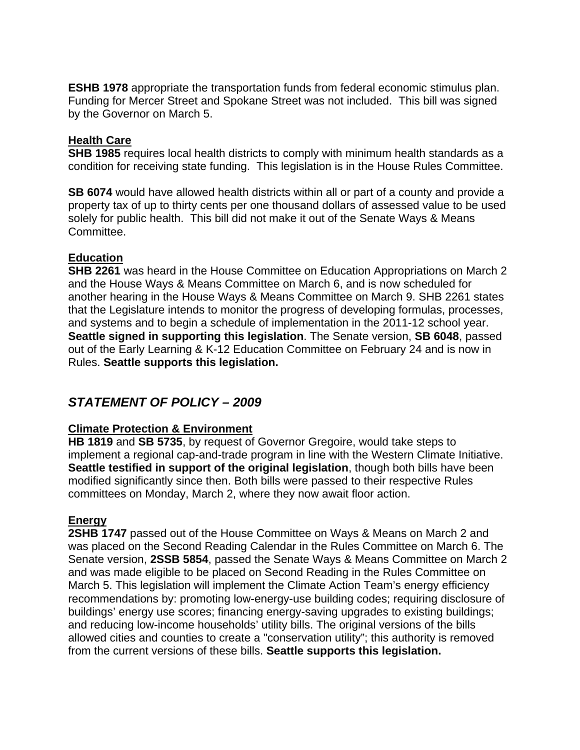**ESHB 1978** appropriate the transportation funds from federal economic stimulus plan. Funding for Mercer Street and Spokane Street was not included. This bill was signed by the Governor on March 5.

## **Health Care**

**SHB 1985** requires local health districts to comply with minimum health standards as a condition for receiving state funding. This legislation is in the House Rules Committee.

**SB 6074** would have allowed health districts within all or part of a county and provide a property tax of up to thirty cents per one thousand dollars of assessed value to be used solely for public health. This bill did not make it out of the Senate Ways & Means Committee.

## **Education**

**SHB 2261** was heard in the House Committee on Education Appropriations on March 2 and the House Ways & Means Committee on March 6, and is now scheduled for another hearing in the House Ways & Means Committee on March 9. SHB 2261 states that the Legislature intends to monitor the progress of developing formulas, processes, and systems and to begin a schedule of implementation in the 2011-12 school year. **Seattle signed in supporting this legislation**. The Senate version, **SB 6048**, passed out of the Early Learning & K-12 Education Committee on February 24 and is now in Rules. **Seattle supports this legislation.** 

# *STATEMENT OF POLICY – 2009*

# **Climate Protection & Environment**

**HB 1819** and **SB 5735**, by request of Governor Gregoire, would take steps to implement a regional cap-and-trade program in line with the Western Climate Initiative. **Seattle testified in support of the original legislation**, though both bills have been modified significantly since then. Both bills were passed to their respective Rules committees on Monday, March 2, where they now await floor action.

# **Energy**

**2SHB 1747** passed out of the House Committee on Ways & Means on March 2 and was placed on the Second Reading Calendar in the Rules Committee on March 6. The Senate version, **2SSB 5854**, passed the Senate Ways & Means Committee on March 2 and was made eligible to be placed on Second Reading in the Rules Committee on March 5. This legislation will implement the Climate Action Team's energy efficiency recommendations by: promoting low-energy-use building codes; requiring disclosure of buildings' energy use scores; financing energy-saving upgrades to existing buildings; and reducing low-income households' utility bills. The original versions of the bills allowed cities and counties to create a "conservation utility"; this authority is removed from the current versions of these bills. **Seattle supports this legislation.**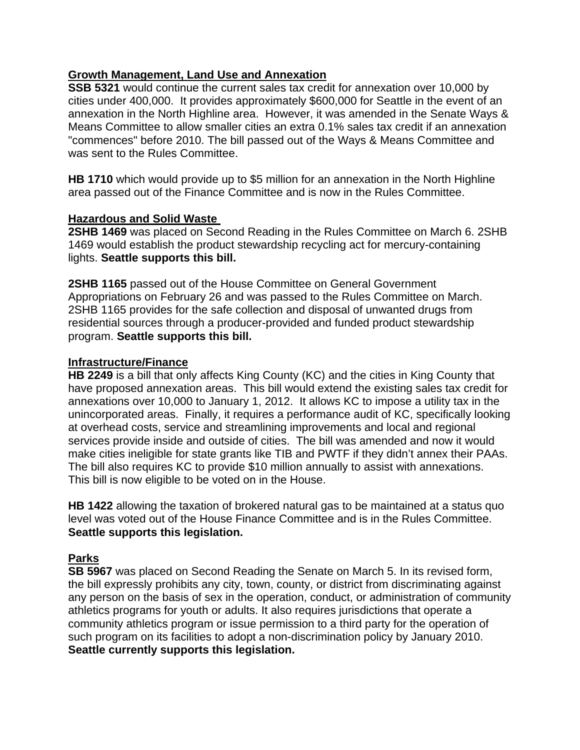## **Growth Management, Land Use and Annexation**

**SSB 5321** would continue the current sales tax credit for annexation over 10,000 by cities under 400,000. It provides approximately \$600,000 for Seattle in the event of an annexation in the North Highline area. However, it was amended in the Senate Ways & Means Committee to allow smaller cities an extra 0.1% sales tax credit if an annexation "commences" before 2010. The bill passed out of the Ways & Means Committee and was sent to the Rules Committee.

**HB 1710** which would provide up to \$5 million for an annexation in the North Highline area passed out of the Finance Committee and is now in the Rules Committee.

### **Hazardous and Solid Waste**

**2SHB 1469** was placed on Second Reading in the Rules Committee on March 6. 2SHB 1469 would establish the product stewardship recycling act for mercury-containing lights. **Seattle supports this bill.** 

**2SHB 1165** passed out of the House Committee on General Government Appropriations on February 26 and was passed to the Rules Committee on March. 2SHB 1165 provides for the safe collection and disposal of unwanted drugs from residential sources through a producer-provided and funded product stewardship program. **Seattle supports this bill.** 

### **Infrastructure/Finance**

**HB 2249** is a bill that only affects King County (KC) and the cities in King County that have proposed annexation areas. This bill would extend the existing sales tax credit for annexations over 10,000 to January 1, 2012. It allows KC to impose a utility tax in the unincorporated areas. Finally, it requires a performance audit of KC, specifically looking at overhead costs, service and streamlining improvements and local and regional services provide inside and outside of cities. The bill was amended and now it would make cities ineligible for state grants like TIB and PWTF if they didn't annex their PAAs. The bill also requires KC to provide \$10 million annually to assist with annexations. This bill is now eligible to be voted on in the House.

**HB 1422** allowing the taxation of brokered natural gas to be maintained at a status quo level was voted out of the House Finance Committee and is in the Rules Committee. **Seattle supports this legislation.**

# **Parks**

**SB 5967** was placed on Second Reading the Senate on March 5. In its revised form, the bill expressly prohibits any city, town, county, or district from discriminating against any person on the basis of sex in the operation, conduct, or administration of community athletics programs for youth or adults. It also requires jurisdictions that operate a community athletics program or issue permission to a third party for the operation of such program on its facilities to adopt a non-discrimination policy by January 2010. **Seattle currently supports this legislation.**